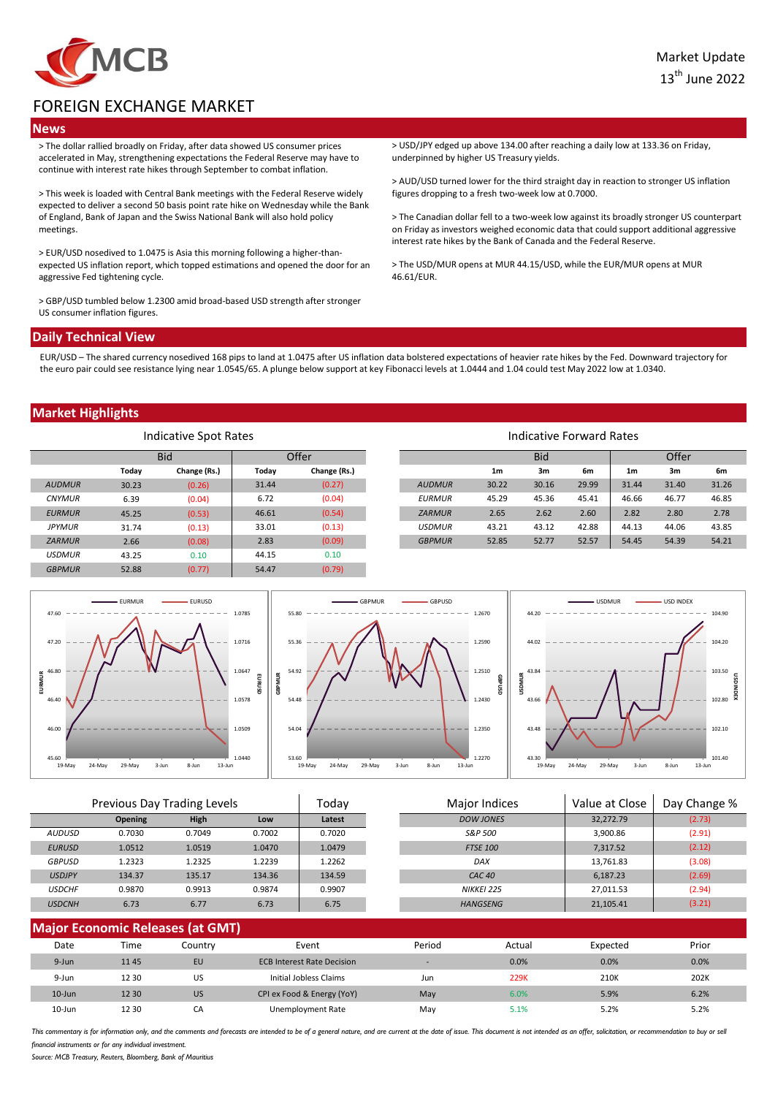

# FOREIGN EXCHANGE MARKET

## **News**

> The dollar rallied broadly on Friday, after data showed US consumer prices accelerated in May, strengthening expectations the Federal Reserve may have to continue with interest rate hikes through September to combat inflation.

> This week is loaded with Central Bank meetings with the Federal Reserve widely expected to deliver a second 50 basis point rate hike on Wednesday while the Bank of England, Bank of Japan and the Swiss National Bank will also hold policy meetings.

> EUR/USD nosedived to 1.0475 is Asia this morning following a higher-thanexpected US inflation report, which topped estimations and opened the door for an aggressive Fed tightening cycle.

> GBP/USD tumbled below 1.2300 amid broad-based USD strength after stronger US consumer inflation figures.

> USD/JPY edged up above 134.00 after reaching a daily low at 133.36 on Friday, underpinned by higher US Treasury yields.

> AUD/USD turned lower for the third straight day in reaction to stronger US inflation figures dropping to a fresh two-week low at 0.7000.

> The Canadian dollar fell to a two-week low against its broadly stronger US counterpart on Friday as investors weighed economic data that could support additional aggressive interest rate hikes by the Bank of Canada and the Federal Reserve.

> The USD/MUR opens at MUR 44.15/USD, while the EUR/MUR opens at MUR 46.61/EUR.

#### **Daily Technical View**

EUR/USD – The shared currency nosedived 168 pips to land at 1.0475 after US inflation data bolstered expectations of heavier rate hikes by the Fed. Downward trajectory for the euro pair could see resistance lying near 1.0545/65. A plunge below support at key Fibonacci levels at 1.0444 and 1.04 could test May 2022 low at 1.0340.

### **Market Highlights**

| Indicative Spot Rates |            |              |       |              |               |                | Indicative Forward Rates |       |       |       |       |
|-----------------------|------------|--------------|-------|--------------|---------------|----------------|--------------------------|-------|-------|-------|-------|
|                       | <b>Bid</b> |              | Offer |              |               | <b>Bid</b>     |                          | Offer |       |       |       |
|                       | Today      | Change (Rs.) | Today | Change (Rs.) |               | 1 <sub>m</sub> | 3m                       | 6m    | 1m    | 3m    | 6m    |
| <b>AUDMUR</b>         | 30.23      | (0.26)       | 31.44 | (0.27)       | <b>AUDMUR</b> | 30.22          | 30.16                    | 29.99 | 31.44 | 31.40 | 31.26 |
| <b>CNYMUR</b>         | 6.39       | (0.04)       | 6.72  | (0.04)       | <b>EURMUR</b> | 45.29          | 45.36                    | 45.41 | 46.66 | 46.77 | 46.85 |
| <b>EURMUR</b>         | 45.25      | (0.53)       | 46.61 | (0.54)       | <b>ZARMUR</b> | 2.65           | 2.62                     | 2.60  | 2.82  | 2.80  | 2.78  |
| <b>JPYMUR</b>         | 31.74      | (0.13)       | 33.01 | (0.13)       | <b>USDMUR</b> | 43.21          | 43.12                    | 42.88 | 44.13 | 44.06 | 43.85 |
| <b>ZARMUR</b>         | 2.66       | (0.08)       | 2.83  | (0.09)       | <b>GBPMUR</b> | 52.85          | 52.77                    | 52.57 | 54.45 | 54.39 | 54.21 |
| <b>USDMUR</b>         | 43.25      | 0.10         | 44.15 | 0.10         |               |                |                          |       |       |       |       |
| <b>GBPMUR</b>         | 52.88      | (0.77)       | 54.47 | (0.79)       |               |                |                          |       |       |       |       |



| Previous Day Trading Levels |                |             | Major Indices<br>Todav |        | Value at Close | Day Change %      |           |        |
|-----------------------------|----------------|-------------|------------------------|--------|----------------|-------------------|-----------|--------|
|                             | <b>Opening</b> | <b>High</b> | Low                    | Latest |                | <b>DOW JONES</b>  | 32,272.79 | (2.73) |
| AUDUSD                      | 0.7030         | 0.7049      | 0.7002                 | 0.7020 |                | S&P 500           | 3,900.86  | (2.91) |
| <b>EURUSD</b>               | 1.0512         | 1.0519      | 1.0470                 | 1.0479 |                | <b>FTSE 100</b>   | 7,317.52  | (2.12) |
| <b>GBPUSD</b>               | 1.2323         | 1.2325      | 1.2239                 | 1.2262 |                | DAX               | 13,761.83 | (3.08) |
| <b>USDJPY</b>               | 134.37         | 135.17      | 134.36                 | 134.59 |                | CAC <sub>40</sub> | 6.187.23  | (2.69) |
| <b>USDCHF</b>               | 0.9870         | 0.9913      | 0.9874                 | 0.9907 |                | <b>NIKKEI 225</b> | 27,011.53 | (2.94) |
| <b>USDCNH</b>               | 6.73           | 6.77        | 6.73                   | 6.75   |                | <b>HANGSENG</b>   | 21,105.41 | (3.21) |
|                             |                |             |                        |        |                |                   |           |        |

| <b>Major Economic Releases (at GMT)</b> |       |           |                                   |        |        |          |       |  |
|-----------------------------------------|-------|-----------|-----------------------------------|--------|--------|----------|-------|--|
| Date                                    | Time  | Countrv   | Event                             | Period | Actual | Expected | Prior |  |
| 9-Jun                                   | 1145  | EU        | <b>ECB Interest Rate Decision</b> | .      | 0.0%   | 0.0%     | 0.0%  |  |
| 9-Jun                                   | 12 30 | US        | Initial Jobless Claims            | Jun    | 229K   | 210K     | 202K  |  |
| $10$ -Jun                               | 12 30 | <b>US</b> | CPI ex Food & Energy (YoY)        | May    | 6.0%   | 5.9%     | 6.2%  |  |
| $10 - Jun$                              | 12 30 | CA        | Unemployment Rate                 | Mav    | 5.1%   | 5.2%     | 5.2%  |  |

This commentary is for information only, and the comments and forecasts are intended to be of a general nature, and are current at the date of issue. This document is not intended as an offer, solicitation, or recommendati *financial instruments or for any individual investment.*

*Source: MCB Treasury, Reuters, Bloomberg, Bank of Mauritius*